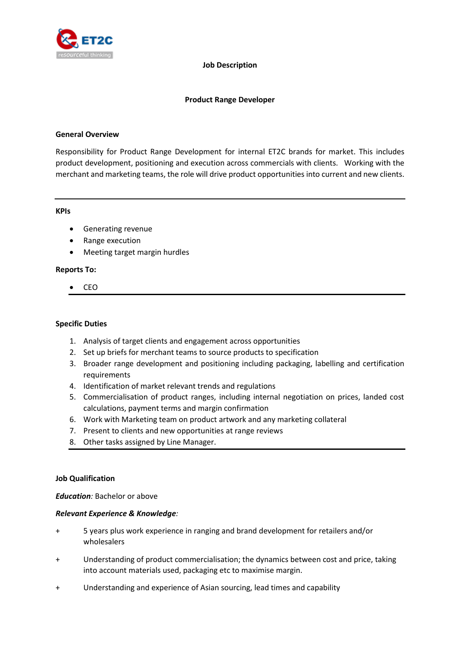

#### **Job Description**

#### **Product Range Developer**

#### **General Overview**

Responsibility for Product Range Development for internal ET2C brands for market. This includes product development, positioning and execution across commercials with clients. Working with the merchant and marketing teams, the role will drive product opportunities into current and new clients.

#### **KPIs**

- Generating revenue
- Range execution
- Meeting target margin hurdles

## **Reports To:**

• CEO

#### **Specific Duties**

- 1. Analysis of target clients and engagement across opportunities
- 2. Set up briefs for merchant teams to source products to specification
- 3. Broader range development and positioning including packaging, labelling and certification requirements
- 4. Identification of market relevant trends and regulations
- 5. Commercialisation of product ranges, including internal negotiation on prices, landed cost calculations, payment terms and margin confirmation
- 6. Work with Marketing team on product artwork and any marketing collateral
- 7. Present to clients and new opportunities at range reviews
- 8. Other tasks assigned by Line Manager.

## **Job Qualification**

*Education:* Bachelor or above

## *Relevant Experience & Knowledge:*

- + 5 years plus work experience in ranging and brand development for retailers and/or wholesalers
- + Understanding of product commercialisation; the dynamics between cost and price, taking into account materials used, packaging etc to maximise margin.
- + Understanding and experience of Asian sourcing, lead times and capability